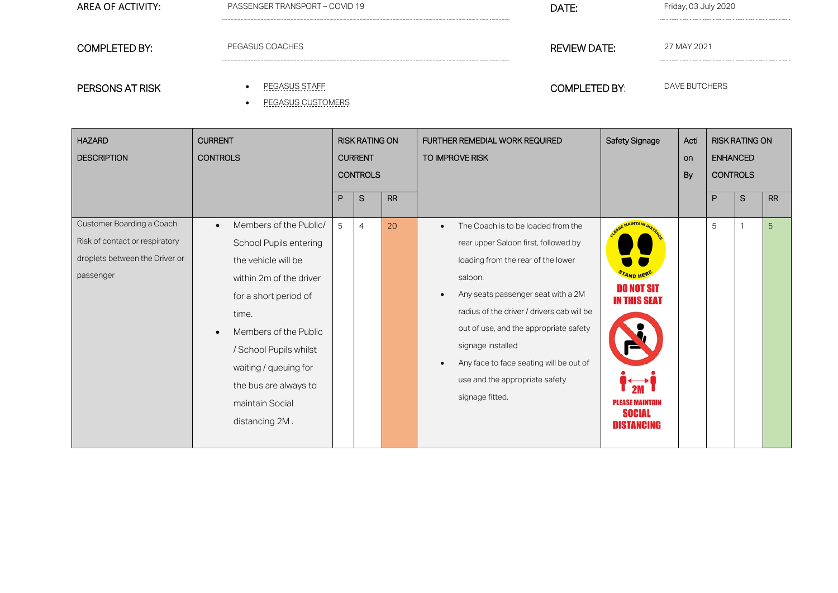| AREA OF ACTIVITY: | PASSENGER TRANSPORT - COVID 19 | DATE:                | Friday, 03 July 2020 |  |  |  |  |
|-------------------|--------------------------------|----------------------|----------------------|--|--|--|--|
|                   |                                |                      |                      |  |  |  |  |
| COMPLETED BY:     | PEGASUS COACHES                | REVIEW DATE:         | 27 MAY 2021          |  |  |  |  |
|                   |                                |                      |                      |  |  |  |  |
| PERSONS AT RISK   | PEGASUS STAFF                  | <b>COMPLETED BY:</b> | DAVE BUTCHERS        |  |  |  |  |

• PEGASUS CUSTOMERS

| <b>HAZARD</b><br><b>DESCRIPTION</b>                                                                        | <b>CURRENT</b><br><b>CONTROLS</b>                                                                                                                                                                                                                                                           | <b>RISK RATING ON</b><br><b>CURRENT</b><br><b>CONTROLS</b> |                |           | <b>FURTHER REMEDIAL WORK REQUIRED</b><br>TO IMPROVE RISK                                                                                                                                                                                                                                                                                                                                                              | Safety Signage                                                                                    | Acti<br>on<br>By | <b>RISK RATING ON</b><br><b>ENHANCED</b><br><b>CONTROLS</b> |   |           |
|------------------------------------------------------------------------------------------------------------|---------------------------------------------------------------------------------------------------------------------------------------------------------------------------------------------------------------------------------------------------------------------------------------------|------------------------------------------------------------|----------------|-----------|-----------------------------------------------------------------------------------------------------------------------------------------------------------------------------------------------------------------------------------------------------------------------------------------------------------------------------------------------------------------------------------------------------------------------|---------------------------------------------------------------------------------------------------|------------------|-------------------------------------------------------------|---|-----------|
|                                                                                                            |                                                                                                                                                                                                                                                                                             | P                                                          | S              | <b>RR</b> |                                                                                                                                                                                                                                                                                                                                                                                                                       |                                                                                                   |                  | P                                                           | S | <b>RR</b> |
| Customer Boarding a Coach<br>Risk of contact or respiratory<br>droplets between the Driver or<br>passenger | Members of the Public/<br>$\bullet$<br>School Pupils entering<br>the vehicle will be<br>within 2m of the driver<br>for a short period of<br>time.<br>Members of the Public<br>/ School Pupils whilst<br>waiting / queuing for<br>the bus are always to<br>maintain Social<br>distancing 2M. | 5                                                          | $\overline{4}$ | 20        | The Coach is to be loaded from the<br>$\bullet$<br>rear upper Saloon first, followed by<br>loading from the rear of the lower<br>saloon.<br>Any seats passenger seat with a 2M<br>$\bullet$<br>radius of the driver / drivers cab will be<br>out of use, and the appropriate safety<br>signage installed<br>Any face to face seating will be out of<br>$\bullet$<br>use and the appropriate safety<br>signage fitted. | DO NOT SIT<br><b>IN THIS SEAT</b><br><b>PLEASE MAINTAIN</b><br><b>SOCIAL</b><br><b>DISTANCING</b> |                  | 5                                                           |   | 5         |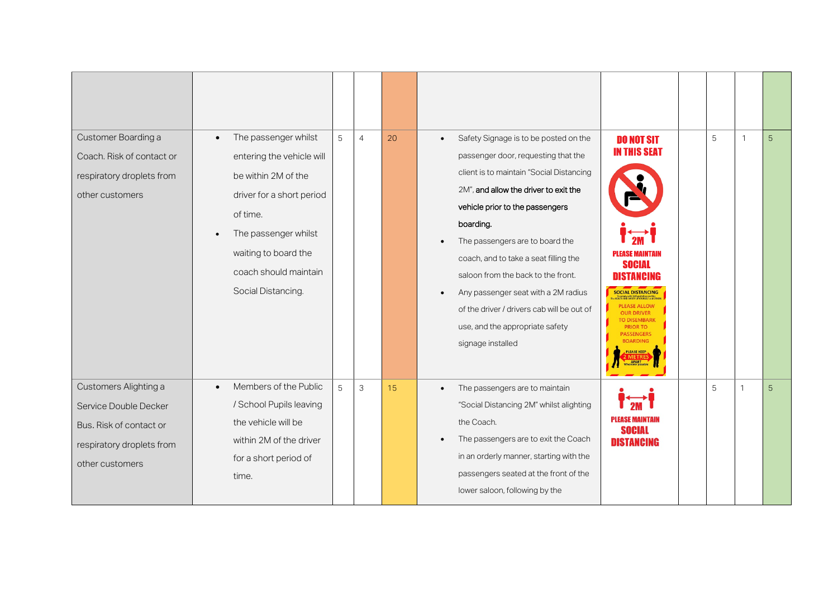| Customer Boarding a<br>Coach. Risk of contact or<br>respiratory droplets from<br>other customers                          | The passenger whilst<br>$\bullet$<br>entering the vehicle will<br>be within 2M of the<br>driver for a short period<br>of time.<br>The passenger whilst<br>waiting to board the<br>coach should maintain<br>Social Distancing. | 5 | $\overline{4}$ | 20 | Safety Signage is to be posted on the<br>$\bullet$<br>passenger door, requesting that the<br>client is to maintain "Social Distancing<br>2M", and allow the driver to exit the<br>vehicle prior to the passengers<br>boarding.<br>The passengers are to board the<br>coach, and to take a seat filling the<br>saloon from the back to the front.<br>Any passenger seat with a 2M radius<br>$\bullet$<br>of the driver / drivers cab will be out of<br>use, and the appropriate safety<br>signage installed | <b>DO NOT SIT</b><br><b>IN THIS SEAT</b><br><b>PLEASE MAINTAIN</b><br><b>SOCIAL</b><br><b>DISTANCING</b><br><b>SOCIAL DISTANCING</b><br>PLEASE ALLOW<br><b>OUR DRIVER</b><br><b>PRIOR TO</b><br><b>PASSENGERS</b><br><b>ROARDING</b><br><b>IFASE KEEP</b><br>APART | 5 | $\mathbf{1}$ | 5 |
|---------------------------------------------------------------------------------------------------------------------------|-------------------------------------------------------------------------------------------------------------------------------------------------------------------------------------------------------------------------------|---|----------------|----|------------------------------------------------------------------------------------------------------------------------------------------------------------------------------------------------------------------------------------------------------------------------------------------------------------------------------------------------------------------------------------------------------------------------------------------------------------------------------------------------------------|--------------------------------------------------------------------------------------------------------------------------------------------------------------------------------------------------------------------------------------------------------------------|---|--------------|---|
| Customers Alighting a<br>Service Double Decker<br>Bus. Risk of contact or<br>respiratory droplets from<br>other customers | Members of the Public<br>$\bullet$<br>/ School Pupils leaving<br>the vehicle will be<br>within 2M of the driver<br>for a short period of<br>time.                                                                             | 5 | $\mathsf{3}$   | 15 | The passengers are to maintain<br>$\bullet$<br>"Social Distancing 2M" whilst alighting<br>the Coach.<br>The passengers are to exit the Coach<br>in an orderly manner, starting with the<br>passengers seated at the front of the<br>lower saloon, following by the                                                                                                                                                                                                                                         | PLEASE MAINTAIN<br><b>SOCIAL</b><br><b>DISTANCING</b>                                                                                                                                                                                                              | 5 | $\mathbf{1}$ | 5 |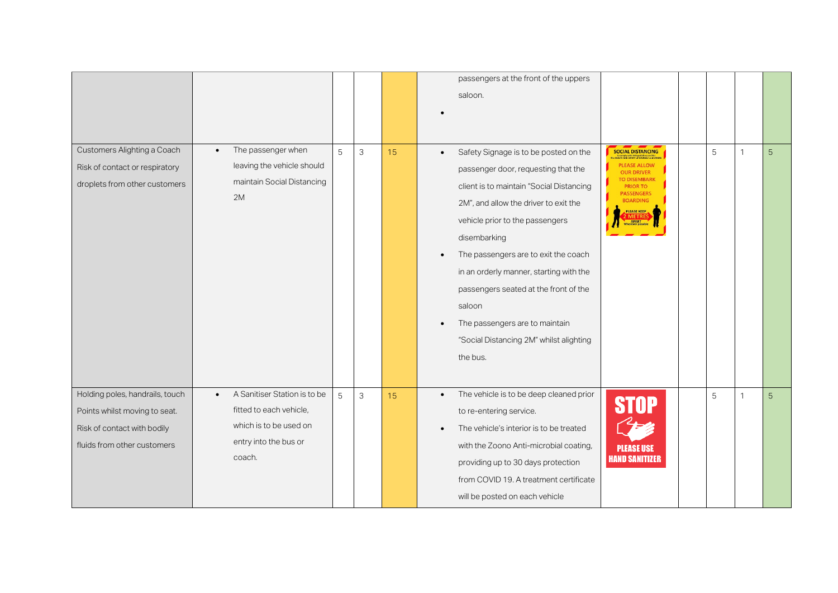|                                                                                                                                |                                                                                                                                   |   |              |    | passengers at the front of the uppers<br>saloon.                                                                                                                                                                                                                                                                                                                                                                                                                              |                                                                                                                                                                                       |   |              |   |
|--------------------------------------------------------------------------------------------------------------------------------|-----------------------------------------------------------------------------------------------------------------------------------|---|--------------|----|-------------------------------------------------------------------------------------------------------------------------------------------------------------------------------------------------------------------------------------------------------------------------------------------------------------------------------------------------------------------------------------------------------------------------------------------------------------------------------|---------------------------------------------------------------------------------------------------------------------------------------------------------------------------------------|---|--------------|---|
| Customers Alighting a Coach<br>Risk of contact or respiratory<br>droplets from other customers                                 | The passenger when<br>$\bullet$<br>leaving the vehicle should<br>maintain Social Distancing<br>2M                                 | 5 | 3            | 15 | Safety Signage is to be posted on the<br>$\bullet$<br>passenger door, requesting that the<br>client is to maintain "Social Distancing<br>2M", and allow the driver to exit the<br>vehicle prior to the passengers<br>disembarking<br>The passengers are to exit the coach<br>in an orderly manner, starting with the<br>passengers seated at the front of the<br>saloon<br>The passengers are to maintain<br>$\bullet$<br>"Social Distancing 2M" whilst alighting<br>the bus. | <b>SOCIAL DISTANCING</b><br><b>PLEASE ALLOW</b><br><b>OUR DRIVER</b><br><b>TO DISEMBARK</b><br><b>PRIOR TO</b><br><b>PASSENGERS</b><br><b>BOARDING</b><br>PLEASE KEEP<br><b>APART</b> | 5 | $\mathbf{1}$ | 5 |
| Holding poles, handrails, touch<br>Points whilst moving to seat.<br>Risk of contact with bodily<br>fluids from other customers | A Sanitiser Station is to be<br>$\bullet$<br>fitted to each vehicle,<br>which is to be used on<br>entry into the bus or<br>coach. | 5 | $\mathbf{3}$ | 15 | The vehicle is to be deep cleaned prior<br>$\bullet$<br>to re-entering service.<br>The vehicle's interior is to be treated<br>$\bullet$<br>with the Zoono Anti-microbial coating,<br>providing up to 30 days protection<br>from COVID 19. A treatment certificate<br>will be posted on each vehicle                                                                                                                                                                           | <b>STOP</b><br><b>PLEASE USE</b><br><b>HAND SANITIZER</b>                                                                                                                             | 5 | $\mathbf{1}$ | 5 |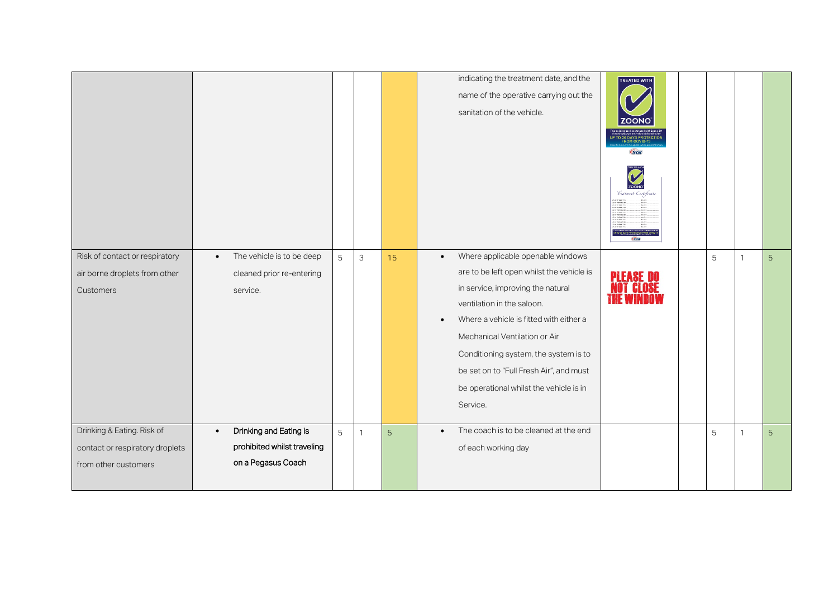|                                                                                       |                                                                                          |                |              |    | indicating the treatment date, and the<br><b>TREATED WITH</b><br>name of the operative carrying out the<br>sanitation of the vehicle.<br><b>P TO 30 DAYS PROTECTION</b><br>FROM COVID-19<br><b>GGI</b><br>'Ireatment Certificati<br>For harvester<br>and halvester<br>and halvester<br>and halvester<br>and halvester<br>and halvester<br>and halvester<br>and halvester<br>and halvester<br>and halvester<br>and halvester<br>and halvester<br>and halvester<br>and halvester<br>and halvester<br>ingalan<br>Separa<br>Separa<br>Separa<br>Natar<br>(sG) |
|---------------------------------------------------------------------------------------|------------------------------------------------------------------------------------------|----------------|--------------|----|-----------------------------------------------------------------------------------------------------------------------------------------------------------------------------------------------------------------------------------------------------------------------------------------------------------------------------------------------------------------------------------------------------------------------------------------------------------------------------------------------------------------------------------------------------------|
| Risk of contact or respiratory<br>air borne droplets from other<br>Customers          | The vehicle is to be deep<br>$\bullet$<br>cleaned prior re-entering<br>service.          | $\overline{5}$ | $\mathsf 3$  | 15 | Where applicable openable windows<br>5<br>$\bullet$<br>5<br>are to be left open whilst the vehicle is<br>PLEASE DO<br>in service, improving the natural<br>ventilation in the saloon.<br>Where a vehicle is fitted with either a<br>$\bullet$<br>Mechanical Ventilation or Air<br>Conditioning system, the system is to<br>be set on to "Full Fresh Air", and must<br>be operational whilst the vehicle is in<br>Service.                                                                                                                                 |
| Drinking & Eating. Risk of<br>contact or respiratory droplets<br>from other customers | Drinking and Eating is<br>$\bullet$<br>prohibited whilst traveling<br>on a Pegasus Coach | 5              | $\mathbf{1}$ | 5  | The coach is to be cleaned at the end<br>5<br>$\bullet$<br>5<br>of each working day                                                                                                                                                                                                                                                                                                                                                                                                                                                                       |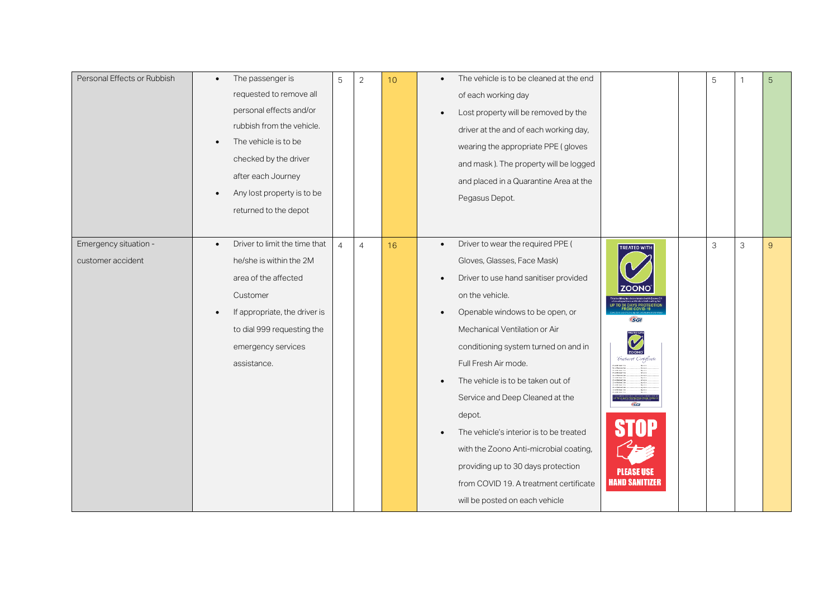| Personal Effects or Rubbish | The passenger is<br>$\bullet$              | 5              | $\overline{2}$ | 10 <sup>°</sup> | The vehicle is to be cleaned at the end<br>$\bullet$ |                                                                    | 5 | $\overline{1}$ | $\sqrt{5}$     |
|-----------------------------|--------------------------------------------|----------------|----------------|-----------------|------------------------------------------------------|--------------------------------------------------------------------|---|----------------|----------------|
|                             | requested to remove all                    |                |                |                 | of each working day                                  |                                                                    |   |                |                |
|                             | personal effects and/or                    |                |                |                 | Lost property will be removed by the                 |                                                                    |   |                |                |
|                             | rubbish from the vehicle.                  |                |                |                 | driver at the and of each working day,               |                                                                    |   |                |                |
|                             | The vehicle is to be                       |                |                |                 | wearing the appropriate PPE (gloves                  |                                                                    |   |                |                |
|                             | checked by the driver                      |                |                |                 | and mask). The property will be logged               |                                                                    |   |                |                |
|                             | after each Journey                         |                |                |                 | and placed in a Quarantine Area at the               |                                                                    |   |                |                |
|                             | Any lost property is to be                 |                |                |                 | Pegasus Depot.                                       |                                                                    |   |                |                |
|                             | returned to the depot                      |                |                |                 |                                                      |                                                                    |   |                |                |
|                             |                                            |                |                |                 |                                                      |                                                                    |   |                |                |
| Emergency situation -       | Driver to limit the time that<br>$\bullet$ | $\overline{4}$ | $\overline{4}$ | 16              | Driver to wear the required PPE (<br>$\bullet$       | <b>TREATED WITH</b>                                                | 3 | $\mathfrak{Z}$ | $\overline{9}$ |
| customer accident           | he/she is within the 2M                    |                |                |                 | Gloves, Glasses, Face Mask)                          |                                                                    |   |                |                |
|                             | area of the affected                       |                |                |                 | Driver to use hand sanitiser provided                |                                                                    |   |                |                |
|                             | Customer                                   |                |                |                 | on the vehicle.                                      |                                                                    |   |                |                |
|                             | If appropriate, the driver is              |                |                |                 | Openable windows to be open, or                      | .<br>FROM COVID-19<br><b>GGI</b>                                   |   |                |                |
|                             | to dial 999 requesting the                 |                |                |                 | Mechanical Ventilation or Air                        |                                                                    |   |                |                |
|                             | emergency services                         |                |                |                 | conditioning system turned on and in                 |                                                                    |   |                |                |
|                             | assistance.                                |                |                |                 | Full Fresh Air mode.                                 | 'Treatment Certificate                                             |   |                |                |
|                             |                                            |                |                |                 | The vehicle is to be taken out of                    | Spring<br>Spring<br>Spring<br>Spring<br>Spring<br>Spring<br>Spring |   |                |                |
|                             |                                            |                |                |                 | Service and Deep Cleaned at the                      |                                                                    |   |                |                |
|                             |                                            |                |                |                 | depot.                                               | $\overline{\mathsf{GGL}}$                                          |   |                |                |
|                             |                                            |                |                |                 | The vehicle's interior is to be treated              | <b>STOP</b>                                                        |   |                |                |
|                             |                                            |                |                |                 | with the Zoono Anti-microbial coating,               |                                                                    |   |                |                |
|                             |                                            |                |                |                 | providing up to 30 days protection                   |                                                                    |   |                |                |
|                             |                                            |                |                |                 | from COVID 19. A treatment certificate               | <b>PLEASE USE</b><br><b>HAND SANITIZER</b>                         |   |                |                |
|                             |                                            |                |                |                 | will be posted on each vehicle                       |                                                                    |   |                |                |
|                             |                                            |                |                |                 |                                                      |                                                                    |   |                |                |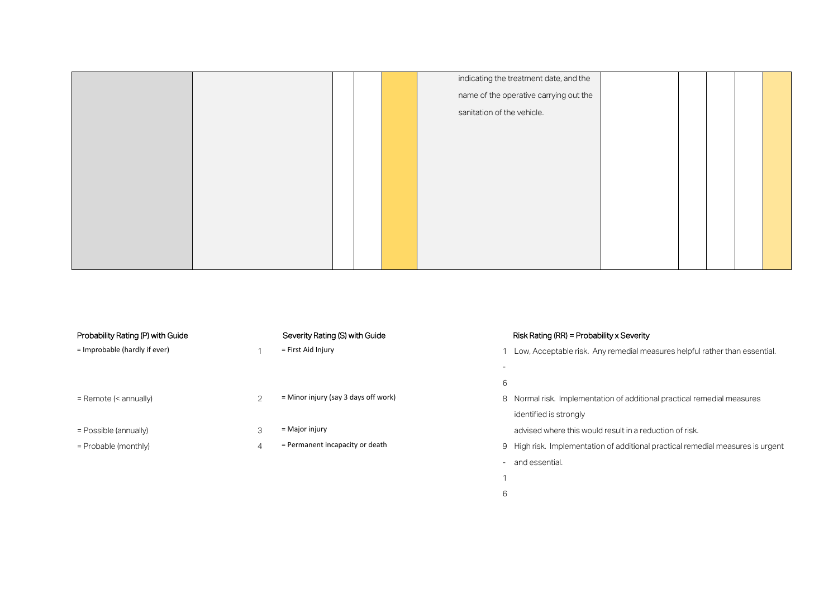|  |  | indicating the treatment date, and the |  |  |  |
|--|--|----------------------------------------|--|--|--|
|  |  | name of the operative carrying out the |  |  |  |
|  |  | sanitation of the vehicle.             |  |  |  |
|  |  |                                        |  |  |  |
|  |  |                                        |  |  |  |
|  |  |                                        |  |  |  |
|  |  |                                        |  |  |  |
|  |  |                                        |  |  |  |
|  |  |                                        |  |  |  |
|  |  |                                        |  |  |  |
|  |  |                                        |  |  |  |
|  |  |                                        |  |  |  |

| Probability Rating (P) with Guide | Severity Rating (S) with Guide         |        | Risk Rating (RR) = Probability x Severity                                       |
|-----------------------------------|----------------------------------------|--------|---------------------------------------------------------------------------------|
| = Improbable (hardly if ever)     | = First Aid Injury                     |        |                                                                                 |
|                                   |                                        |        | Low, Acceptable risk. Any remedial measures helpful rather than essential.      |
|                                   |                                        |        |                                                                                 |
|                                   |                                        | 6      |                                                                                 |
| = Remote (< annually)             | $=$ Minor injury (say 3 days off work) |        | 8 Normal risk. Implementation of additional practical remedial measures         |
|                                   |                                        |        | identified is strongly                                                          |
| $=$ Possible (annually)           | $=$ Major injury                       |        | advised where this would result in a reduction of risk.                         |
| $=$ Probable (monthly)            | = Permanent incapacity or death        |        | 9 High risk. Implementation of additional practical remedial measures is urgent |
|                                   |                                        | $\sim$ | and essential.                                                                  |

- 1
- 6